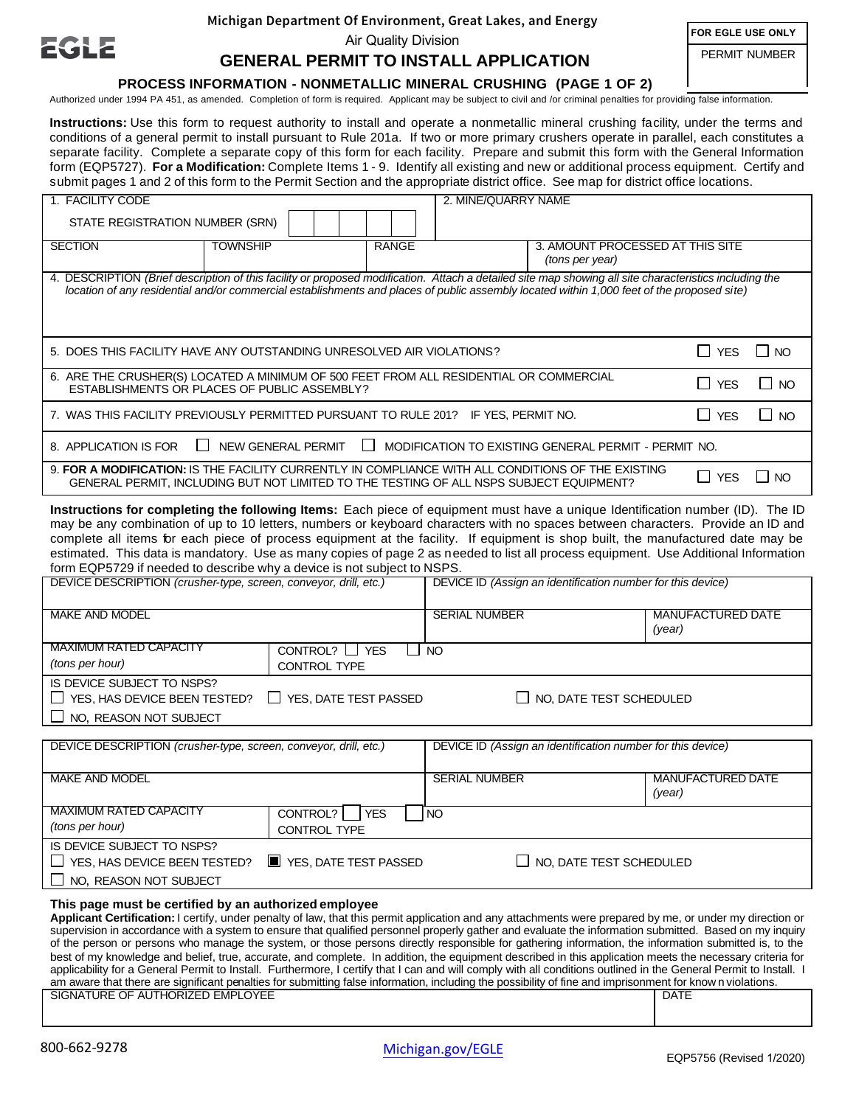

#### **Michigan Department Of Environment, Great Lakes, and Energy**

Air Quality Division

**FOR EGLE USE ONLY**

PERMIT NUMBER

# **GENERAL PERMIT TO INSTALL APPLICATION**

## **PROCESS INFORMATION - NONMETALLIC MINERAL CRUSHING (PAGE 1 OF 2)**

Authorized under 1994 PA 451, as amended. Completion of form is required. Applicant may be subject to civil and /or criminal penalties for providing false information.

**Instructions:** Use this form to request authority to install and operate a nonmetallic mineral crushing facility, under the terms and conditions of a general permit to install pursuant to Rule 201a. If two or more primary crushers operate in parallel, each constitutes a separate facility. Complete a separate copy of this form for each facility. Prepare and submit this form with the General Information form (EQP5727). **For a Modification:** Complete Items 1 - 9. Identify all existing and new or additional process equipment. Certify and submit pages 1 and 2 of this form to the Permit Section and the appropriate district office. See map for district office locations.

| 1. FACILITY CODE                                                                                                                                                                                                                                                                                     |                                                                                                                                                                                               | 2. MINE/QUARRY NAME |  |                                                     |            |           |  |
|------------------------------------------------------------------------------------------------------------------------------------------------------------------------------------------------------------------------------------------------------------------------------------------------------|-----------------------------------------------------------------------------------------------------------------------------------------------------------------------------------------------|---------------------|--|-----------------------------------------------------|------------|-----------|--|
| STATE REGISTRATION NUMBER (SRN)                                                                                                                                                                                                                                                                      |                                                                                                                                                                                               |                     |  |                                                     |            |           |  |
| <b>SECTION</b>                                                                                                                                                                                                                                                                                       | <b>TOWNSHIP</b>                                                                                                                                                                               | RANGE               |  | 3. AMOUNT PROCESSED AT THIS SITE<br>(tons per year) |            |           |  |
| 4. DESCRIPTION (Brief description of this facility or proposed modification. Attach a detailed site map showing all site characteristics including the<br>location of any residential and/or commercial establishments and places of public assembly located within 1,000 feet of the proposed site) |                                                                                                                                                                                               |                     |  |                                                     |            |           |  |
| 5. DOES THIS FACILITY HAVE ANY OUTSTANDING UNRESOLVED AIR VIOLATIONS?                                                                                                                                                                                                                                |                                                                                                                                                                                               |                     |  | I YES                                               | NO.        |           |  |
| 6. ARE THE CRUSHER(S) LOCATED A MINIMUM OF 500 FEET FROM ALL RESIDENTIAL OR COMMERCIAL<br>ESTABLISHMENTS OR PLACES OF PUBLIC ASSEMBLY?                                                                                                                                                               |                                                                                                                                                                                               |                     |  |                                                     | $\Box$ YFS | NO.       |  |
| 7. WAS THIS FACILITY PREVIOUSLY PERMITTED PURSUANT TO RULE 201? IF YES, PERMIT NO.                                                                                                                                                                                                                   |                                                                                                                                                                                               |                     |  |                                                     | $\Box$ YES | NO.       |  |
| $\mathbf{L}$<br>NEW GENERAL PERMIT<br>8. APPLICATION IS FOR<br>$\mathbf{I}$<br>MODIFICATION TO EXISTING GENERAL PERMIT - PERMIT NO.                                                                                                                                                                  |                                                                                                                                                                                               |                     |  |                                                     |            |           |  |
|                                                                                                                                                                                                                                                                                                      | 9. FOR A MODIFICATION: IS THE FACILITY CURRENTLY IN COMPLIANCE WITH ALL CONDITIONS OF THE EXISTING<br>GENERAL PERMIT, INCLUDING BUT NOT LIMITED TO THE TESTING OF ALL NSPS SUBJECT EQUIPMENT? |                     |  |                                                     | I I YES    | <b>NO</b> |  |

**Instructions for completing the following Items:** Each piece of equipment must have a unique Identification number (ID). The ID may be any combination of up to 10 letters, numbers or keyboard characters with no spaces between characters. Provide an ID and complete all items for each piece of process equipment at the facility. If equipment is shop built, the manufactured date may be estimated. This data is mandatory. Use as many copies of page 2 as needed to list all process equipment. Use Additional Information form EQP5729 if needed to describe why a device is not subject to NSPS.

| DEVICE DESCRIPTION (crusher-type, screen, conveyor, drill, etc.)                        |                                 | DEVICE ID (Assign an identification number for this device) |                          |  |  |
|-----------------------------------------------------------------------------------------|---------------------------------|-------------------------------------------------------------|--------------------------|--|--|
|                                                                                         |                                 |                                                             |                          |  |  |
| <b>MAKE AND MODEL</b>                                                                   |                                 | <b>SERIAL NUMBER</b>                                        | <b>MANUFACTURED DATE</b> |  |  |
|                                                                                         |                                 |                                                             | (year)                   |  |  |
| <b>MAXIMUM RATED CAPACITY</b>                                                           | CONTROL? $\Box$<br><b>YES</b>   | <b>NO</b>                                                   |                          |  |  |
| (tons per hour)                                                                         | <b>CONTROL TYPE</b>             |                                                             |                          |  |  |
| IS DEVICE SUBJECT TO NSPS?                                                              |                                 |                                                             |                          |  |  |
| $\Box$ YES, HAS DEVICE BEEN TESTED?                                                     | YES, DATE TEST PASSED<br>$\Box$ | $\Box$ NO, DATE TEST SCHEDULED                              |                          |  |  |
| $\Box$ NO, REASON NOT SUBJECT                                                           |                                 |                                                             |                          |  |  |
|                                                                                         |                                 |                                                             |                          |  |  |
| DEVICE DESCRIPTION (crusher-type, screen, conveyor, drill, etc.)                        |                                 | DEVICE ID (Assign an identification number for this device) |                          |  |  |
|                                                                                         |                                 |                                                             |                          |  |  |
| <b>MAKE AND MODEL</b>                                                                   |                                 | <b>SERIAL NUMBER</b>                                        | <b>MANUFACTURED DATE</b> |  |  |
|                                                                                         |                                 |                                                             | (year)                   |  |  |
| <b>MAXIMUM RATED CAPACITY</b>                                                           | CONTROL?   YES                  | I NO                                                        |                          |  |  |
| (tons per hour)                                                                         | <b>CONTROL TYPE</b>             |                                                             |                          |  |  |
| IS DEVICE SUBJECT TO NSPS?                                                              |                                 |                                                             |                          |  |  |
| $\Box$ YES, HAS DEVICE BEEN TESTED?<br>YES, DATE TEST PASSED<br>NO, DATE TEST SCHEDULED |                                 |                                                             |                          |  |  |

 $\Box$  NO, REASON NOT SUBJECT

#### **This page must be certified by an authorized employee**

**Applicant Certification:** I certify, under penalty of law, that this permit application and any attachments were prepared by me, or under my direction or supervision in accordance with a system to ensure that qualified personnel properly gather and evaluate the information submitted. Based on my inquiry of the person or persons who manage the system, or those persons directly responsible for gathering information, the information submitted is, to the best of my knowledge and belief, true, accurate, and complete. In addition, the equipment described in this application meets the necessary criteria for applicability for a General Permit to Install. Furthermore, I certify that I can and will comply with all conditions outlined in the General Permit to Install. I am aware that there are significant penalties for submitting false information, including the possibility of fine and imprisonment for know n violations.

| an aware that there are eighteen penative for each intime rates information, including the pocolonity of hire and improcunricht for inform in violations. |             |  |  |  |
|-----------------------------------------------------------------------------------------------------------------------------------------------------------|-------------|--|--|--|
| SIGNATURE OF AUTHORIZED<br><b>EMPLOYEE</b>                                                                                                                | <b>DATE</b> |  |  |  |
|                                                                                                                                                           |             |  |  |  |